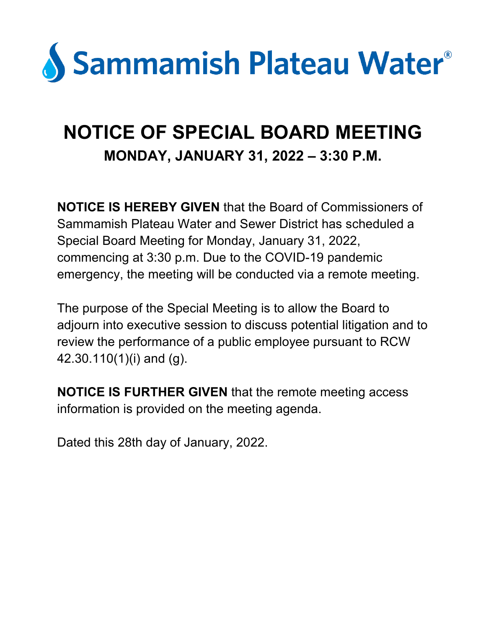

## **NOTICE OF SPECIAL BOARD MEETING MONDAY, JANUARY 31, 2022 – 3:30 P.M.**

**NOTICE IS HEREBY GIVEN** that the Board of Commissioners of Sammamish Plateau Water and Sewer District has scheduled a Special Board Meeting for Monday, January 31, 2022, commencing at 3:30 p.m. Due to the COVID-19 pandemic emergency, the meeting will be conducted via a remote meeting.

The purpose of the Special Meeting is to allow the Board to adjourn into executive session to discuss potential litigation and to review the performance of a public employee pursuant to RCW 42.30.110(1)(i) and (g).

**NOTICE IS FURTHER GIVEN** that the remote meeting access information is provided on the meeting agenda.

Dated this 28th day of January, 2022.